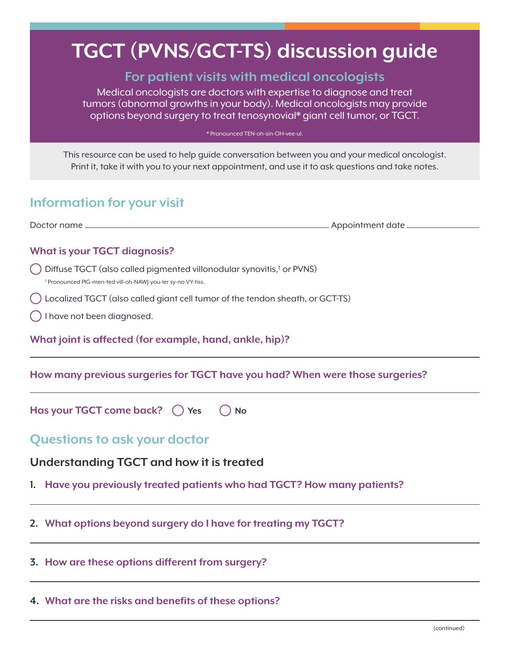# **TGCT (PVNS/GCT-TS) discussion guide**

## **For patient visits with medical oncologists**

Medical oncologists are doctors with expertise to diagnose and treat tumors (abnormal growths in your body). Medical oncologists may provide options beyond surgery to treat tenosynovial\* giant cell tumor, or TGCT.

\* Pronounced TEN-oh-sin-OH-vee-ul.

This resource can be used to help guide conversation between you and your medical oncologist. Print it, take it with you to your next appointment, and use it to ask questions and take notes.

## **Information for your visit**

Doctor name Appointment date

## **What is your TGCT diagnosis?**

- Diffuse TGCT (also called pigmented villonodular synovitis,<sup>†</sup> or PVNS)<br><sup>† Propounced PlG-men-ted vill-ob-NAW-vou-ler.sy.no.\^^\*iss</sup> Pronounced PIG-men-ted vill-oh-NAWJ-you-ler sy-no-VY-tiss.
- Localized TGCT (also called giant cell tumor of the tendon sheath, or GCT-TS)
- I have not been diagnosed.

**What joint is affected (for example, hand, ankle, hip)?**

**How many previous surgeries for TGCT have you had? When were those surgeries?**

**Has your TGCT come back?**  $\bigcirc$  Yes  $\bigcirc$  No

## **Questions to ask your doctor**

## **Understanding TGCT and how it is treated**

- **1. Have you previously treated patients who had TGCT? How many patients?**
- **2. What options beyond surgery do I have for treating my TGCT?**

#### **3. How are these options different from surgery?**

#### **4. What are the risks and benefits of these options?**